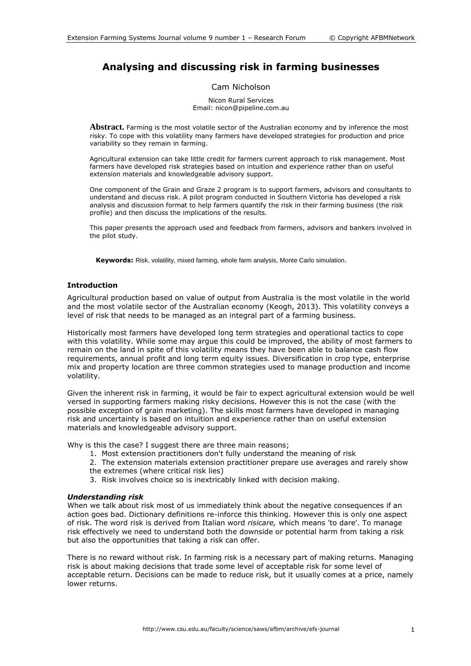# **Analysing and discussing risk in farming businesses**

## Cam Nicholson

Nicon Rural Services Email: nicon@pipeline.com.au

**Abstract.** Farming is the most volatile sector of the Australian economy and by inference the most risky. To cope with this volatility many farmers have developed strategies for production and price variability so they remain in farming.

Agricultural extension can take little credit for farmers current approach to risk management. Most farmers have developed risk strategies based on intuition and experience rather than on useful extension materials and knowledgeable advisory support.

One component of the Grain and Graze 2 program is to support farmers, advisors and consultants to understand and discuss risk. A pilot program conducted in Southern Victoria has developed a risk analysis and discussion format to help farmers quantify the risk in their farming business (the risk profile) and then discuss the implications of the results.

This paper presents the approach used and feedback from farmers, advisors and bankers involved in the pilot study.

**Keywords:** Risk, volatility, mixed farming, whole farm analysis, Monte Carlo simulation.

## **Introduction**

Agricultural production based on value of output from Australia is the most volatile in the world and the most volatile sector of the Australian economy (Keogh, 2013). This volatility conveys a level of risk that needs to be managed as an integral part of a farming business.

Historically most farmers have developed long term strategies and operational tactics to cope with this volatility. While some may argue this could be improved, the ability of most farmers to remain on the land in spite of this volatility means they have been able to balance cash flow requirements, annual profit and long term equity issues. Diversification in crop type, enterprise mix and property location are three common strategies used to manage production and income volatility.

Given the inherent risk in farming, it would be fair to expect agricultural extension would be well versed in supporting farmers making risky decisions. However this is not the case (with the possible exception of grain marketing). The skills most farmers have developed in managing risk and uncertainty is based on intuition and experience rather than on useful extension materials and knowledgeable advisory support.

Why is this the case? I suggest there are three main reasons;

- 1. Most extension practitioners don't fully understand the meaning of risk
- 2. The extension materials extension practitioner prepare use averages and rarely show the extremes (where critical risk lies)
- 
- 3. Risk involves choice so is inextricably linked with decision making.

# *Understanding risk*

When we talk about risk most of us immediately think about the negative consequences if an action goes bad. Dictionary definitions re-inforce this thinking. However this is only one aspect of risk. The word risk is derived from Italian word *risicare,* which means 'to dare'. To manage risk effectively we need to understand both the downside or potential harm from taking a risk but also the opportunities that taking a risk can offer.

There is no reward without risk. In farming risk is a necessary part of making returns. Managing risk is about making decisions that trade some level of acceptable risk for some level of acceptable return. Decisions can be made to reduce risk, but it usually comes at a price, namely lower returns.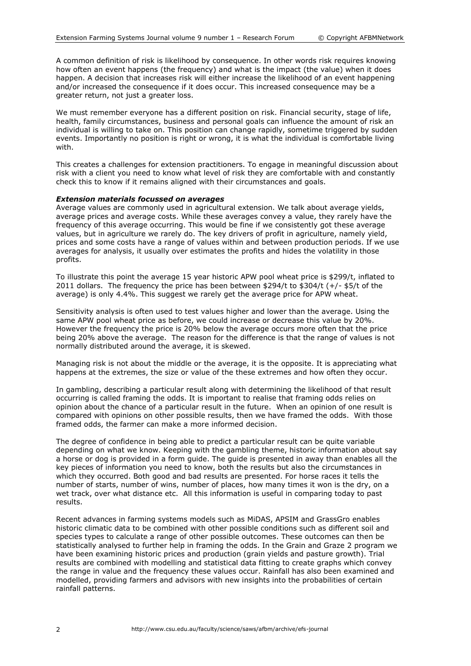A common definition of risk is likelihood by consequence. In other words risk requires knowing how often an event happens (the frequency) and what is the impact (the value) when it does happen. A decision that increases risk will either increase the likelihood of an event happening and/or increased the consequence if it does occur. This increased consequence may be a greater return, not just a greater loss.

We must remember everyone has a different position on risk. Financial security, stage of life, health, family circumstances, business and personal goals can influence the amount of risk an individual is willing to take on. This position can change rapidly, sometime triggered by sudden events. Importantly no position is right or wrong, it is what the individual is comfortable living with.

This creates a challenges for extension practitioners. To engage in meaningful discussion about risk with a client you need to know what level of risk they are comfortable with and constantly check this to know if it remains aligned with their circumstances and goals.

#### *Extension materials focussed on averages*

Average values are commonly used in agricultural extension. We talk about average yields, average prices and average costs. While these averages convey a value, they rarely have the frequency of this average occurring. This would be fine if we consistently got these average values, but in agriculture we rarely do. The key drivers of profit in agriculture, namely yield, prices and some costs have a range of values within and between production periods. If we use averages for analysis, it usually over estimates the profits and hides the volatility in those profits.

To illustrate this point the average 15 year historic APW pool wheat price is \$299/t, inflated to 2011 dollars. The frequency the price has been between \$294/t to \$304/t (+/- \$5/t of the average) is only 4.4%. This suggest we rarely get the average price for APW wheat.

Sensitivity analysis is often used to test values higher and lower than the average. Using the same APW pool wheat price as before, we could increase or decrease this value by 20%. However the frequency the price is 20% below the average occurs more often that the price being 20% above the average. The reason for the difference is that the range of values is not normally distributed around the average, it is skewed.

Managing risk is not about the middle or the average, it is the opposite. It is appreciating what happens at the extremes, the size or value of the these extremes and how often they occur.

In gambling, describing a particular result along with determining the likelihood of that result occurring is called framing the odds. It is important to realise that framing odds relies on opinion about the chance of a particular result in the future. When an opinion of one result is compared with opinions on other possible results, then we have framed the odds. With those framed odds, the farmer can make a more informed decision.

The degree of confidence in being able to predict a particular result can be quite variable depending on what we know. Keeping with the gambling theme, historic information about say a horse or dog is provided in a form guide. The guide is presented in away than enables all the key pieces of information you need to know, both the results but also the circumstances in which they occurred. Both good and bad results are presented. For horse races it tells the number of starts, number of wins, number of places, how many times it won is the dry, on a wet track, over what distance etc. All this information is useful in comparing today to past results.

Recent advances in farming systems models such as MiDAS, APSIM and GrassGro enables historic climatic data to be combined with other possible conditions such as different soil and species types to calculate a range of other possible outcomes. These outcomes can then be statistically analysed to further help in framing the odds. In the Grain and Graze 2 program we have been examining historic prices and production (grain yields and pasture growth). Trial results are combined with modelling and statistical data fitting to create graphs which convey the range in value and the frequency these values occur. Rainfall has also been examined and modelled, providing farmers and advisors with new insights into the probabilities of certain rainfall patterns.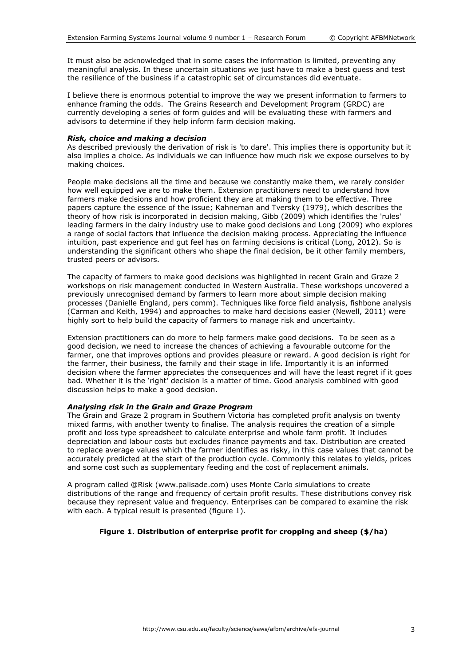It must also be acknowledged that in some cases the information is limited, preventing any meaningful analysis. In these uncertain situations we just have to make a best guess and test the resilience of the business if a catastrophic set of circumstances did eventuate.

I believe there is enormous potential to improve the way we present information to farmers to enhance framing the odds. The Grains Research and Development Program (GRDC) are currently developing a series of form guides and will be evaluating these with farmers and advisors to determine if they help inform farm decision making.

## *Risk, choice and making a decision*

As described previously the derivation of risk is 'to dare'. This implies there is opportunity but it also implies a choice. As individuals we can influence how much risk we expose ourselves to by making choices.

People make decisions all the time and because we constantly make them, we rarely consider how well equipped we are to make them. Extension practitioners need to understand how farmers make decisions and how proficient they are at making them to be effective. Three papers capture the essence of the issue; Kahneman and Tversky (1979), which describes the theory of how risk is incorporated in decision making, Gibb (2009) which identifies the 'rules' leading farmers in the dairy industry use to make good decisions and Long (2009) who explores a range of social factors that influence the decision making process. Appreciating the influence intuition, past experience and gut feel has on farming decisions is critical (Long, 2012). So is understanding the significant others who shape the final decision, be it other family members, trusted peers or advisors.

The capacity of farmers to make good decisions was highlighted in recent Grain and Graze 2 workshops on risk management conducted in Western Australia. These workshops uncovered a previously unrecognised demand by farmers to learn more about simple decision making processes (Danielle England, pers comm). Techniques like force field analysis, fishbone analysis (Carman and Keith, 1994) and approaches to make hard decisions easier (Newell, 2011) were highly sort to help build the capacity of farmers to manage risk and uncertainty.

Extension practitioners can do more to help farmers make good decisions. To be seen as a good decision, we need to increase the chances of achieving a favourable outcome for the farmer, one that improves options and provides pleasure or reward. A good decision is right for the farmer, their business, the family and their stage in life. Importantly it is an informed decision where the farmer appreciates the consequences and will have the least regret if it goes bad. Whether it is the 'right' decision is a matter of time. Good analysis combined with good discussion helps to make a good decision.

# *Analysing risk in the Grain and Graze Program*

The Grain and Graze 2 program in Southern Victoria has completed profit analysis on twenty mixed farms, with another twenty to finalise. The analysis requires the creation of a simple profit and loss type spreadsheet to calculate enterprise and whole farm profit. It includes depreciation and labour costs but excludes finance payments and tax. Distribution are created to replace average values which the farmer identifies as risky, in this case values that cannot be accurately predicted at the start of the production cycle. Commonly this relates to yields, prices and some cost such as supplementary feeding and the cost of replacement animals.

A program called @Risk (www.palisade.com) uses Monte Carlo simulations to create distributions of the range and frequency of certain profit results. These distributions convey risk because they represent value and frequency. Enterprises can be compared to examine the risk with each. A typical result is presented (figure 1).

# **Figure 1. Distribution of enterprise profit for cropping and sheep (\$/ha)**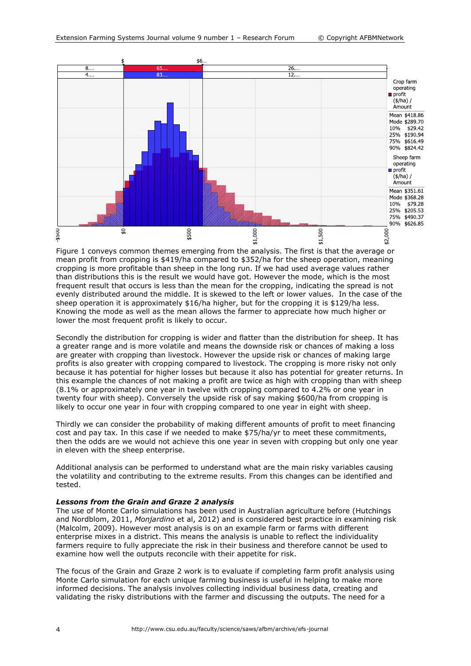

Figure 1 conveys common themes emerging from the analysis. The first is that the average or mean profit from cropping is \$419/ha compared to \$352/ha for the sheep operation, meaning cropping is more profitable than sheep in the long run. If we had used average values rather than distributions this is the result we would have got. However the mode, which is the most frequent result that occurs is less than the mean for the cropping, indicating the spread is not evenly distributed around the middle. It is skewed to the left or lower values. In the case of the sheep operation it is approximately \$16/ha higher, but for the cropping it is \$129/ha less. Knowing the mode as well as the mean allows the farmer to appreciate how much higher or lower the most frequent profit is likely to occur.

Secondly the distribution for cropping is wider and flatter than the distribution for sheep. It has a greater range and is more volatile and means the downside risk or chances of making a loss are greater with cropping than livestock. However the upside risk or chances of making large profits is also greater with cropping compared to livestock. The cropping is more risky not only because it has potential for higher losses but because it also has potential for greater returns. In this example the chances of not making a profit are twice as high with cropping than with sheep (8.1% or approximately one year in twelve with cropping compared to 4.2% or one year in twenty four with sheep). Conversely the upside risk of say making \$600/ha from cropping is likely to occur one year in four with cropping compared to one year in eight with sheep.

Thirdly we can consider the probability of making different amounts of profit to meet financing cost and pay tax. In this case if we needed to make \$75/ha/yr to meet these commitments, then the odds are we would not achieve this one year in seven with cropping but only one year in eleven with the sheep enterprise.

Additional analysis can be performed to understand what are the main risky variables causing the volatility and contributing to the extreme results. From this changes can be identified and tested.

#### *Lessons from the Grain and Graze 2 analysis*

The use of Monte Carlo simulations has been used in Australian agriculture before (Hutchings and Nordblom, 2011, *Monjardino* et al, 2012) and is considered best practice in examining risk (Malcolm, 2009). However most analysis is on an example farm or farms with different enterprise mixes in a district. This means the analysis is unable to reflect the individuality farmers require to fully appreciate the risk in their business and therefore cannot be used to examine how well the outputs reconcile with their appetite for risk.

The focus of the Grain and Graze 2 work is to evaluate if completing farm profit analysis using Monte Carlo simulation for each unique farming business is useful in helping to make more informed decisions. The analysis involves collecting individual business data, creating and validating the risky distributions with the farmer and discussing the outputs. The need for a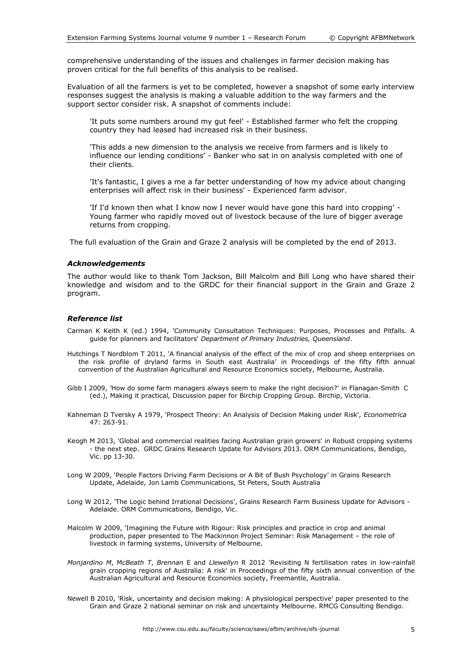comprehensive understanding of the issues and challenges in farmer decision making has proven critical for the full benefits of this analysis to be realised.

Evaluation of all the farmers is yet to be completed, however a snapshot of some early interview responses suggest the analysis is making a valuable addition to the way farmers and the support sector consider risk. A snapshot of comments include:

'It puts some numbers around my gut feel' - Established farmer who felt the cropping country they had leased had increased risk in their business.

'This adds a new dimension to the analysis we receive from farmers and is likely to influence our lending conditions' - Banker who sat in on analysis completed with one of their clients.

'It's fantastic, I gives a me a far better understanding of how my advice about changing enterprises will affect risk in their business' - Experienced farm advisor.

'If I'd known then what I know now I never would have gone this hard into cropping' - Young farmer who rapidly moved out of livestock because of the lure of bigger average returns from cropping.

The full evaluation of the Grain and Graze 2 analysis will be completed by the end of 2013.

#### *Acknowledgements*

The author would like to thank Tom Jackson, Bill Malcolm and Bill Long who have shared their knowledge and wisdom and to the GRDC for their financial support in the Grain and Graze 2 program.

#### *Reference list*

- Carman K Keith K (ed.) 1994, 'Community Consultation Techniques: Purposes, Processes and Pitfalls. A guide for planners and facilitators' *Department of Primary Industries, Queensland*.
- Hutchings T Nordblom T 2011, 'A financial analysis of the effect of the mix of crop and sheep enterprises on the risk profile of dryland farms in South east Australia' in Proceedings of the fifty fifth annual convention of the Australian Agricultural and Resource Economics society, Melbourne, Australia.
- Gibb I 2009, *'*How do some farm managers always seem to make the right decision?' in Flanagan-Smith C (ed.), Making it practical*,* Discussion paper for Birchip Cropping Group. Birchip, Victoria.
- Kahneman D Tversky A 1979, 'Prospect Theory: An Analysis of Decision Making under Risk'*, Econometrica* 47: 263-91.
- Keogh M 2013, 'Global and commercial realities facing Australian grain growers' in Robust cropping systems - the next step. GRDC Grains Research Update for Advisors 2013. ORM Communications, Bendigo, Vic. pp 13-30.
- Long W 2009, 'People Factors Driving Farm Decisions or A Bit of Bush Psychology' in Grains Research Update, Adelaide, Jon Lamb Communications, St Peters, South Australia
- Long W 2012, 'The Logic behind Irrational Decisions', Grains Research Farm Business Update for Advisors Adelaide. ORM Communications, Bendigo, Vic.
- Malcolm W 2009, 'Imagining the Future with Rigour: Risk principles and practice in crop and animal production, paper presented to The Mackinnon Project Seminar: Risk Management – the role of livestock in farming systems, University of Melbourne.
- *Monjardino M*, M*cBeath T*, *Brennan* E and *Llewellyn* R 2012 'Revisiting N fertilisation rates in low-rainfall grain cropping regions of Australia: A risk' in Proceedings of the fifty sixth annual convention of the Australian Agricultural and Resource Economics society, Freemantle, Australia.
- Newell B 2010, 'Risk, uncertainty and decision making: A physiological perspective' paper presented to the Grain and Graze 2 national seminar on risk and uncertainty Melbourne. RMCG Consulting Bendigo.